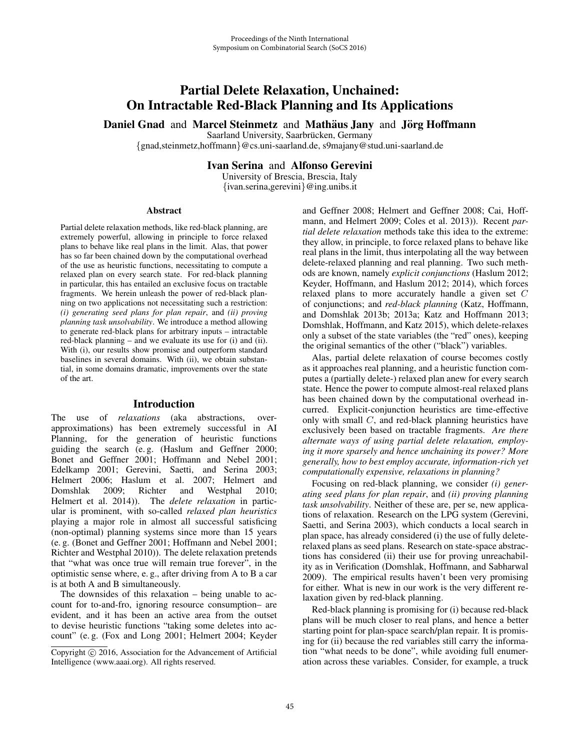# Partial Delete Relaxation, Unchained: On Intractable Red-Black Planning and Its Applications

Daniel Gnad and Marcel Steinmetz and Mathaus Jany and Jörg Hoffmann

Saarland University, Saarbrücken, Germany

{gnad,steinmetz,hoffmann}@cs.uni-saarland.de, s9majany@stud.uni-saarland.de

Ivan Serina and Alfonso Gerevini

University of Brescia, Brescia, Italy {ivan.serina,gerevini}@ing.unibs.it

#### Abstract

Partial delete relaxation methods, like red-black planning, are extremely powerful, allowing in principle to force relaxed plans to behave like real plans in the limit. Alas, that power has so far been chained down by the computational overhead of the use as heuristic functions, necessitating to compute a relaxed plan on every search state. For red-black planning in particular, this has entailed an exclusive focus on tractable fragments. We herein unleash the power of red-black planning on two applications not necessitating such a restriction: *(i) generating seed plans for plan repair*, and *(ii) proving planning task unsolvability*. We introduce a method allowing to generate red-black plans for arbitrary inputs – intractable red-black planning – and we evaluate its use for (i) and (ii). With (i), our results show promise and outperform standard baselines in several domains. With (ii), we obtain substantial, in some domains dramatic, improvements over the state of the art.

## Introduction

The use of *relaxations* (aka abstractions, overapproximations) has been extremely successful in AI Planning, for the generation of heuristic functions guiding the search (e. g. (Haslum and Geffner 2000; Bonet and Geffner 2001; Hoffmann and Nebel 2001; Edelkamp 2001; Gerevini, Saetti, and Serina 2003; Helmert 2006; Haslum et al. 2007; Helmert and Domshlak 2009; Richter and Westphal 2010; Helmert et al. 2014)). The *delete relaxation* in particular is prominent, with so-called *relaxed plan heuristics* playing a major role in almost all successful satisficing (non-optimal) planning systems since more than 15 years (e. g. (Bonet and Geffner 2001; Hoffmann and Nebel 2001; Richter and Westphal 2010)). The delete relaxation pretends that "what was once true will remain true forever", in the optimistic sense where, e. g., after driving from A to B a car is at both A and B simultaneously.

The downsides of this relaxation – being unable to account for to-and-fro, ignoring resource consumption– are evident, and it has been an active area from the outset to devise heuristic functions "taking some deletes into account" (e. g. (Fox and Long 2001; Helmert 2004; Keyder and Geffner 2008; Helmert and Geffner 2008; Cai, Hoffmann, and Helmert 2009; Coles et al. 2013)). Recent *partial delete relaxation* methods take this idea to the extreme: they allow, in principle, to force relaxed plans to behave like real plans in the limit, thus interpolating all the way between delete-relaxed planning and real planning. Two such methods are known, namely *explicit conjunctions* (Haslum 2012; Keyder, Hoffmann, and Haslum 2012; 2014), which forces relaxed plans to more accurately handle a given set C of conjunctions; and *red-black planning* (Katz, Hoffmann, and Domshlak 2013b; 2013a; Katz and Hoffmann 2013; Domshlak, Hoffmann, and Katz 2015), which delete-relaxes only a subset of the state variables (the "red" ones), keeping the original semantics of the other ("black") variables.

Alas, partial delete relaxation of course becomes costly as it approaches real planning, and a heuristic function computes a (partially delete-) relaxed plan anew for every search state. Hence the power to compute almost-real relaxed plans has been chained down by the computational overhead incurred. Explicit-conjunction heuristics are time-effective only with small C, and red-black planning heuristics have exclusively been based on tractable fragments. *Are there alternate ways of using partial delete relaxation, employing it more sparsely and hence unchaining its power? More generally, how to best employ accurate, information-rich yet computationally expensive, relaxations in planning?*

Focusing on red-black planning, we consider *(i) generating seed plans for plan repair*, and *(ii) proving planning task unsolvability*. Neither of these are, per se, new applications of relaxation. Research on the LPG system (Gerevini, Saetti, and Serina 2003), which conducts a local search in plan space, has already considered (i) the use of fully deleterelaxed plans as seed plans. Research on state-space abstractions has considered (ii) their use for proving unreachability as in Verification (Domshlak, Hoffmann, and Sabharwal 2009). The empirical results haven't been very promising for either. What is new in our work is the very different relaxation given by red-black planning.

Red-black planning is promising for (i) because red-black plans will be much closer to real plans, and hence a better starting point for plan-space search/plan repair. It is promising for (ii) because the red variables still carry the information "what needs to be done", while avoiding full enumeration across these variables. Consider, for example, a truck

Copyright  $\odot$  2016, Association for the Advancement of Artificial Intelligence (www.aaai.org). All rights reserved.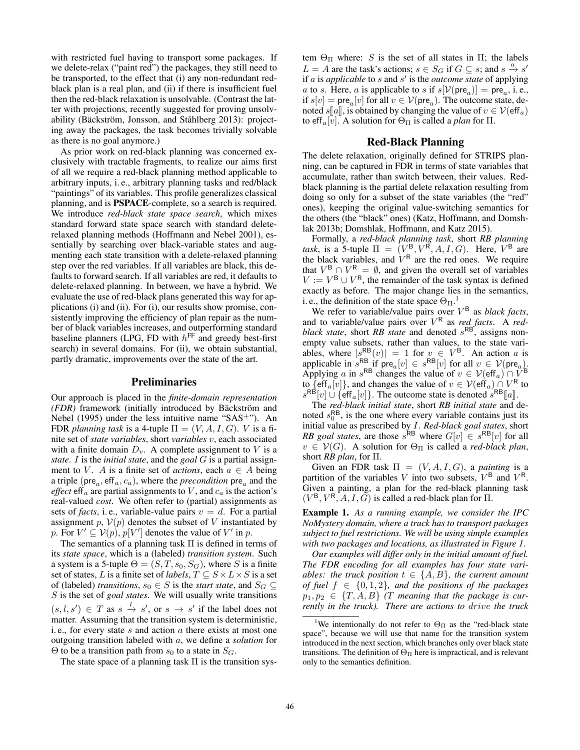with restricted fuel having to transport some packages. If we delete-relax ("paint red") the packages, they still need to be transported, to the effect that (i) any non-redundant redblack plan is a real plan, and (ii) if there is insufficient fuel then the red-black relaxation is unsolvable. (Contrast the latter with projections, recently suggested for proving unsolvability (Bäckström, Jonsson, and Ståhlberg 2013): projecting away the packages, the task becomes trivially solvable as there is no goal anymore.)

As prior work on red-black planning was concerned exclusively with tractable fragments, to realize our aims first of all we require a red-black planning method applicable to arbitrary inputs, i. e., arbitrary planning tasks and red/black "paintings" of its variables. This profile generalizes classical planning, and is PSPACE-complete, so a search is required. We introduce *red-black state space search*, which mixes standard forward state space search with standard deleterelaxed planning methods (Hoffmann and Nebel 2001), essentially by searching over black-variable states and augmenting each state transition with a delete-relaxed planning step over the red variables. If all variables are black, this defaults to forward search. If all variables are red, it defaults to delete-relaxed planning. In between, we have a hybrid. We evaluate the use of red-black plans generated this way for applications (i) and (ii). For (i), our results show promise, consistently improving the efficiency of plan repair as the number of black variables increases, and outperforming standard baseline planners (LPG, FD with  $h^{\text{FF}}$  and greedy best-first search) in several domains. For (ii), we obtain substantial, partly dramatic, improvements over the state of the art.

## Preliminaries

Our approach is placed in the *finite-domain representation (FDR)* framework (initially introduced by Bäckström and Nebel (1995) under the less intuitive name " $SAS^{+}$ "). An FDR *planning task* is a 4-tuple  $\Pi = (V, A, I, G)$ . *V* is a finite set of *state variables*, short *variables* v, each associated with a finite domain  $D_v$ . A complete assignment to V is a *state*. I is the *initial state*, and the *goal* G is a partial assignment to V. A is a finite set of *actions*, each  $a \in A$  being a triple ( $pre_a$ ,  $eff_a$ ,  $c_a$ ), where the *precondition*  $pre_a$  and the *effect* eff<sub>a</sub> are partial assignments to V, and  $c_a$  is the action's real-valued *cost*. We often refer to (partial) assignments as sets of *facts*, i.e., variable-value pairs  $v = d$ . For a partial assignment p,  $V(p)$  denotes the subset of V instantiated by p. For  $V' \subseteq V(p)$ ,  $p[V']$  denotes the value of  $V'$  in  $p$ .

The semantics of a planning task Π is defined in terms of its *state space*, which is a (labeled) *transition system*. Such a system is a 5-tuple  $\Theta=(S, T, s_0, S_G)$ , where S is a finite set of states, L is a finite set of *labels*,  $T \subseteq S \times L \times S$  is a set of (labeled) *transitions*,  $s_0$  ∈ S is the *start state*, and  $S_G$  ⊆ S is the set of *goal states*. We will usually write transitions  $(s, l, s') \in T$  as  $s \stackrel{l}{\rightarrow} s'$ , or  $s \rightarrow s'$  if the label does not matter. Assuming that the transition system is deterministic, i. e., for every state  $s$  and action  $a$  there exists at most one outgoing transition labeled with a, we define a *solution* for  $\Theta$  to be a transition path from  $s_0$  to a state in  $S_G$ .

The state space of a planning task  $\Pi$  is the transition sys-

tem  $\Theta_{\Pi}$  where: S is the set of all states in  $\Pi$ ; the labels  $L = A$  are the task's actions;  $s \in S_G$  if  $G \subseteq s$ ; and  $s \stackrel{a}{\rightarrow} s'$ if *a* is *applicable* to *s* and *s'* is the *outcome state* of applying a to s. Here, a is applicable to s if  $s[V(\text{pre}_a)] = \text{pre}_a$ , i.e., if  $s[v] = \text{pre}_a[v]$  for all  $v \in V(\text{pre}_a)$ . The outcome state, denoted  $s[[a]]$ , is obtained by changing the value of  $v \in \mathcal{V}(\text{eff}_a)$ <br>to eff<sub>a</sub> $[v]$ . A solution for  $\Theta_{\text{tr}}$  is called a *plan* for  $\Pi$ to eff<sub>a</sub>[v]. A solution for  $\Theta_{\Pi}$  is called a *plan* for  $\Pi$ .

#### Red-Black Planning

The delete relaxation, originally defined for STRIPS planning, can be captured in FDR in terms of state variables that accumulate, rather than switch between, their values. Redblack planning is the partial delete relaxation resulting from doing so only for a subset of the state variables (the "red" ones), keeping the original value-switching semantics for the others (the "black" ones) (Katz, Hoffmann, and Domshlak 2013b; Domshlak, Hoffmann, and Katz 2015).

Formally, a *red-black planning task*, short *RB planning task*, is a 5-tuple  $\Pi = (V^B, V^R, A, I, G)$ . Here,  $V^B$  are the black variables, and  $V^R$  are the red ones. We require that  $V^{\text{B}} \cap V^{\text{R}} = \emptyset$ , and given the overall set of variables  $V := V^B \cup V^R$ , the remainder of the task syntax is defined exactly as before. The major change lies in the semantics, i. e., the definition of the state space  $\Theta_{\Pi}$ .<sup>1</sup>

We refer to variable/value pairs over  $V^B$  as *black facts*, and to variable/value pairs over  $V^R$  as *red facts*. A *redblack state*, short *RB state* and denoted  $s<sup>RB</sup>$ , assigns nonempty value subsets, rather than values, to the state variables, where  $|s_{\text{BB}}^{\text{RB}}(v)| = 1$  for  $v \in V^{\text{B}}$ . An action a is applicable in  $s^{RB}$  if  $\text{pre}_a[v] \in s^{RB}[v]$  for all  $v \in V(\text{pre}_a)$ .<br>Applying a in  $s^{RB}$  changes the value of  $v \in V(\text{eff}_a) \cap V^B$ Applying a in s<sup>RB</sup> changes the value of  $v \in V(\text{eff}_a) \cap \tilde{V}^B$ <br>to  $\{\text{eff}_a[v]\}$  and changes the value of  $v \in V(\text{eff}_a) \cap V^B$  to to  $\{\text{eff}_a[v]\}$ , and changes the value of  $v \in \mathcal{V}(\text{eff}_a) \cap V^R$  to  $s^{RB}[v] \cup \{ \text{eff}_a[v] \}$ . The outcome state is denoted  $s^{RB}[a]$  $s^{RB}[v] \cup \{ \text{eff}_a[v] \}$ . The outcome state is denoted  $s^{RB}[a]$ .<br>The *red-black initial state* short *RB initial state* and *c* 

The *red-black initial state*, short *RB initial state* and denoted  $s_0^{RB}$ , is the one where every variable contains just its initial value as prescribed by I. *Red-black goal states*, short *RB goal states*, are those  $s^{RB}$  where  $G[v] \in s^{RB}[v]$  for all  $v \in V(G)$ . A solution for  $\Theta_{\Pi}$  is called a *red-black plan*, short *RB plan*, for Π.

Given an FDR task  $\Pi = (V, A, I, G)$ , a *painting* is a partition of the variables V into two subsets,  $V^B$  and  $V^R$ . Given a painting, a plan for the red-black planning task  $(V^{\mathsf{B}}, V^{\mathsf{R}}, A, I, G)$  is called a red-black plan for  $\Pi$ .

Example 1. *As a running example, we consider the IPC NoMystery domain, where a truck has to transport packages subject to fuel restrictions. We will be using simple examples with two packages and locations, as illustrated in Figure 1.*

*Our examples will differ only in the initial amount of fuel. The FDR encoding for all examples has four state variables: the truck position*  $t \in \{A, B\}$ *, the current amount of fuel* f ∈ {0, 1, 2}*, and the positions of the packages*  $p_1, p_2 \in \{T, A, B\}$  (*T* meaning that the package is cur*rently in the truck). There are actions to* drive *the truck*

<sup>&</sup>lt;sup>1</sup>We intentionally do not refer to  $\Theta_{\Pi}$  as the "red-black state" space", because we will use that name for the transition system introduced in the next section, which branches only over black state transitions. The definition of  $\Theta_{\Pi}$  here is impractical, and is relevant only to the semantics definition.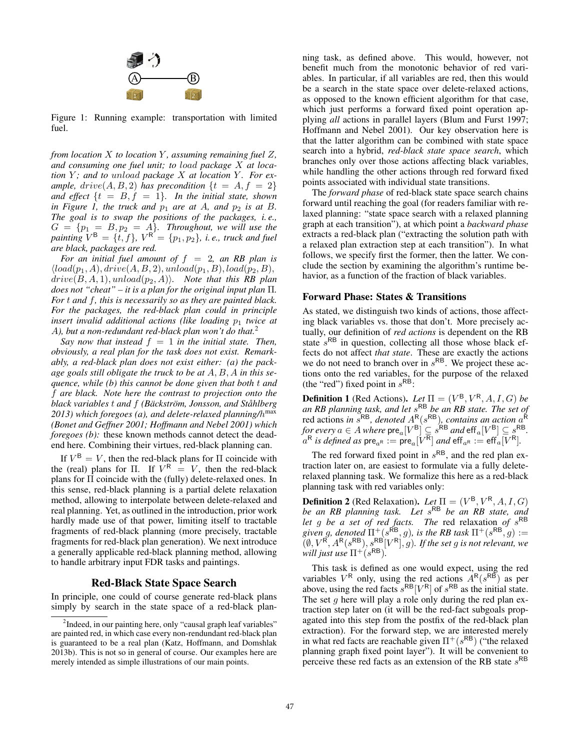

Figure 1: Running example: transportation with limited fuel.

*from location* X *to location* Y *, assuming remaining fuel* Z*, and consuming one fuel unit; to* load *package* X *at location* Y; and to unload package X at location Y. For ex*ample,*  $drive(A, B, 2)$  *has precondition*  $\{t = A, f = 2\}$ *and effect*  $\{t = B, f = 1\}$ *. In the initial state, shown in Figure 1, the truck and*  $p_1$  *are at A, and*  $p_2$  *is at B. The goal is to swap the positions of the packages, i. e.,*  $G = \{p_1 = B, p_2 = A\}$ . Throughout, we will use the *painting*  $V^B = \{t, f\}$ ,  $V^R = \{p_1, p_2\}$ , *i.e., truck and fuel are black, packages are red.*

*For an initial fuel amount of* f = 2*, an RB plan is*  $\langle load(p_1, A), drive(A, B, 2), unload(p_1, B), load(p_2, B),$  $drive(B, A, 1), unload(p_2, A)$ *. Note that this RB plan does not "cheat" – it is a plan for the original input plan* Π*. For* t *and* f*, this is necessarily so as they are painted black. For the packages, the red-black plan could in principle insert invalid additional actions (like loading*  $p_1$  *twice at* A*), but a non-redundant red-black plan won't do that.*<sup>2</sup>

*Say now that instead*  $f = 1$  *in the initial state. Then, obviously, a real plan for the task does not exist. Remarkably, a red-black plan does not exist either: (a) the package goals still obligate the truck to be at* A, B, A *in this sequence, while (b) this cannot be done given that both* t *and* f *are black. Note here the contrast to projection onto the black variables* t *and* f *(Backstr ¨ om, Jonsson, and St ¨ ahlberg ˚* 2013) which foregoes (a), and delete-relaxed planning/h<sup>max</sup> *(Bonet and Geffner 2001; Hoffmann and Nebel 2001) which foregoes (b)*: these known methods cannot detect the deadend here. Combining their virtues, red-black planning can.

If  $V^B = V$ , then the red-black plans for  $\Pi$  coincide with the (real) plans for Π. If  $V^R = V$ , then the red-black plans for Π coincide with the (fully) delete-relaxed ones. In this sense, red-black planning is a partial delete relaxation method, allowing to interpolate between delete-relaxed and real planning. Yet, as outlined in the introduction, prior work hardly made use of that power, limiting itself to tractable fragments of red-black planning (more precisely, tractable fragments for red-black plan generation). We next introduce a generally applicable red-black planning method, allowing to handle arbitrary input FDR tasks and paintings.

# Red-Black State Space Search

In principle, one could of course generate red-black plans simply by search in the state space of a red-black plan-

ning task, as defined above. This would, however, not benefit much from the monotonic behavior of red variables. In particular, if all variables are red, then this would be a search in the state space over delete-relaxed actions, as opposed to the known efficient algorithm for that case, which just performs a forward fixed point operation applying *all* actions in parallel layers (Blum and Furst 1997; Hoffmann and Nebel 2001). Our key observation here is that the latter algorithm can be combined with state space search into a hybrid, *red-black state space search*, which branches only over those actions affecting black variables, while handling the other actions through red forward fixed points associated with individual state transitions.

The *forward phase* of red-black state space search chains forward until reaching the goal (for readers familiar with relaxed planning: "state space search with a relaxed planning graph at each transition"), at which point a *backward phase* extracts a red-black plan ("extracting the solution path with a relaxed plan extraction step at each transition"). In what follows, we specify first the former, then the latter. We conclude the section by examining the algorithm's runtime behavior, as a function of the fraction of black variables.

## Forward Phase: States & Transitions

As stated, we distinguish two kinds of actions, those affecting black variables vs. those that don't. More precisely actually, our definition of *red actions* is dependent on the RB state  $s^{RB}$  in question, collecting all those whose black effects do not affect *that state*. These are exactly the actions we do not need to branch over in  $s^{RB}$ . We project these actions onto the red variables, for the purpose of the relaxed (the "red") fixed point in  $s^{R\hat{B}}$ :

**Definition 1** (Red Actions). *Let*  $\Pi = (V^B, V^R, A, I, G)$  *be an RB planning task, and let* sRB *be an RB state. The set of* red actions *in*  $s^{RB}$ *, denoted*  $A^R(s^{RB})$ *, contains an action*  $a^R$ *for every*  $a \in A$  *where*  $\text{pre}_a[V^B] \subseteq s^{\text{RB}}$  *and*  $\text{eff}_a[V^B] \subseteq s^{\text{RB}}$ .<br> $a^R$  *is defined as nre*  $\circ$  := pre  $[V^R]$  *and* eff  $\circ$  := eff.  $[V^R]$ .  $a^R$  *is defined as*  $\text{pre}_{a^R} := \text{pre}_{a} [V^R]$  *and*  $\text{eff}_{a^R} := \text{eff}_{a} [V^R]$ .

The red forward fixed point in  $s^{RB}$ , and the red plan extraction later on, are easiest to formulate via a fully deleterelaxed planning task. We formalize this here as a red-black planning task with red variables only:

**Definition 2** (Red Relaxation). *Let*  $\Pi = (V^B, V^R, A, I, G)$ *be an RB planning task. Let* s<sup>RB</sup> *be an RB state, and let* g *be a set of red facts. The red relaxation of*  $s^{RB}$ *given g, denoted*  $\Pi^+(s^{\mathsf{RB}}, g)$ *, is the RB task*  $\Pi^+(s^{\mathsf{RB}}, g) :=$  $(\emptyset, V^{\mathsf{R}}, A^{\mathsf{R}}(s^{\mathsf{RB}}), s^{\mathsf{RB}}[V^{\mathsf{R}}], g)$ *. If the set g is not relevant, we will just use*  $\Pi^{+(s^{RB})}$ .

This task is defined as one would expect, using the red variables  $V^R$  only, using the red actions  $A^R(s^{RB})$  as per above, using the red facts  $s^{RB}[V^R]$  of  $s^{RB}$  as the initial state. The set  $q$  here will play a role only during the red plan extraction step later on (it will be the red-fact subgoals propagated into this step from the postfix of the red-black plan extraction). For the forward step, we are interested merely in what red facts are reachable given  $\Pi^+(s^{RB})$  ("the relaxed planning graph fixed point layer"). It will be convenient to perceive these red facts as an extension of the RB state  $s^{RB}$ 

<sup>&</sup>lt;sup>2</sup>Indeed, in our painting here, only "causal graph leaf variables" are painted red, in which case every non-rendundant red-black plan is guaranteed to be a real plan (Katz, Hoffmann, and Domshlak 2013b). This is not so in general of course. Our examples here are merely intended as simple illustrations of our main points.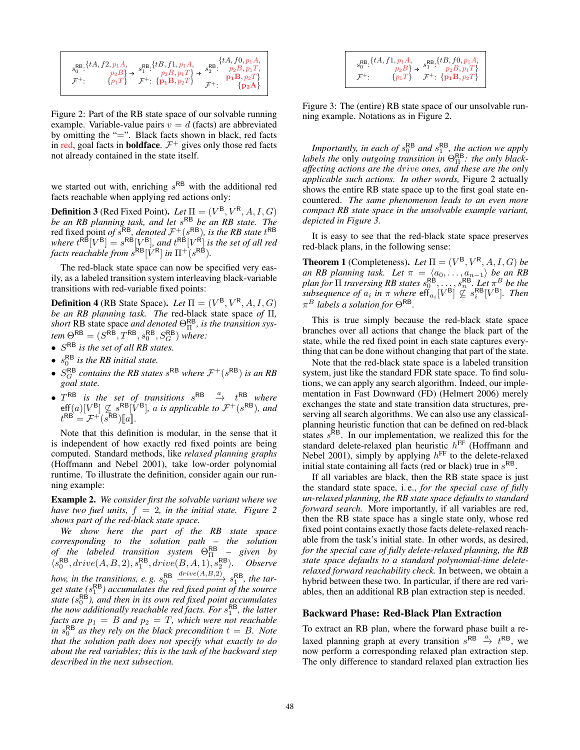$$
s_0^{\text{RB}}:\{tA, f2, p_1A, p_2B\} \rightarrow s_1^{\text{RB}}:\{tB, f1, p_1A, p_2B, p_1T\} \rightarrow s_2^{\text{RB}}:\{tA, f0, p_1A, p_2B\} \rightarrow [p_1T] \rightarrow [p_1B, p_2T] \rightarrow [p_1B, p_2T]
$$
  

$$
\mathcal{F}^+:\{p_1B, p_2T\} \rightarrow [p_2A]
$$

Figure 2: Part of the RB state space of our solvable running example. Variable-value pairs  $v = d$  (facts) are abbreviated by omitting the "=". Black facts shown in black, red facts in red, goal facts in **boldface**.  $\mathcal{F}^+$  gives only those red facts not already contained in the state itself.

we started out with, enriching  $s^{RB}$  with the additional red facts reachable when applying red actions only:

**Definition 3** (Red Fixed Point). *Let*  $\Pi = (V^B, V^R, A, I, G)$ *be an RB planning task, and let* sRB *be an RB state. The* red fixed point *of*  $s^{RB}$ *, denoted*  $\mathcal{F}^+(s^{RB})$ *, is the RB state*  $t^{RB}$ where  $t^{\text{RB}}[V^{\text{B}}] = s^{\text{RB}}[V^{\text{B}}]$ *, and*  $t^{\text{RB}}[V^{\text{R}}]$  *is the set of all red facts reachable from*  $s^{\mathsf{RB}}[\dot{V}^{\mathsf{R}}]$  *in*  $\Pi^{+}(s^{\mathsf{RB}})$ *.* 

The red-black state space can now be specified very easily, as a labeled transition system interleaving black-variable transitions with red-variable fixed points:

**Definition 4** (RB State Space). *Let*  $\Pi = (V^B, V^R, A, I, G)$ *be an RB planning task. The* red-black state space *of* Π*,* short RB state space *and denoted*  $\Theta_{\Pi}^{RB}$ , *is the transition sys* $tem \,\Theta^{\mathsf{RB}} = (S^{\mathsf{RB}}, T^{\mathsf{RB}}, s^{\mathsf{RB}}_{0}, S^{\mathsf{RB}}_{G})$  where:

- <sup>S</sup>RB *is the set of all RB states.*
- $s_0^{\text{RB}}$  *is the RB initial state.*
- $S_G^{RB}$  *contains the RB states*  $s^{RB}$  *where*  $\mathcal{F}^+(s^{RB})$  *is an RB goal state.*
- $T^{RB}$  *is the set of transitions*  $s^{RB}$   $a \rightarrow t^{RB}$  *where*  $t^{RB} = \mathcal{F}^+(s^{RB}|\mathbf{V}^B|, a \text{ is applicable to } \mathcal{F}^+(s^{RB}), and$ <br>  $t^{RB} = \mathcal{F}^+(s^{RB})[a].$

Note that this definition is modular, in the sense that it is independent of how exactly red fixed points are being computed. Standard methods, like *relaxed planning graphs* (Hoffmann and Nebel 2001), take low-order polynomial runtime. To illustrate the definition, consider again our running example:

Example 2. *We consider first the solvable variant where we have two fuel units,*  $f = 2$ *, in the initial state. Figure 2 shows part of the red-black state space.*

*We show here the part of the RB state space corresponding to the solution path – the solution of the labeled transition system* ΘRB <sup>Π</sup> *– given by*  $\langle s_0^{\mathsf{RB}}, drive(A, B, 2), s_1^{\mathsf{RB}}, drive(B, A, 1), s_2^{\mathsf{RB}} \rangle$ . Observe *how, in the transitions, e.g.*  $s_0^{\text{RB}}$  $\xrightarrow[\text{1.5}]{\text{drive}(A,B,2)} s_1^{\text{RB}}, \text{ the tar-}$ get state  $(s_1^{\sf RB})$  accumulates the red fixed point of the source state (s<sup>RB</sup>), and then in its own red fixed point accumulates *the now additionally reachable red facts. For*  $s_1^{\text{RB}}$ *, the latter facts are*  $p_1 = B$  *and*  $p_2 = T$ *, which were not reachable in*  $s_0^{\mathsf{RB}}$  *as they rely on the black precondition*  $t = B$ *. Note that the solution path does not specify what exactly to do about the red variables; this is the task of the backward step described in the next subsection.*

|  | $\begin{array}{c} s_0^{\mathsf{RB}}, \{{tA}, f1, p_1A,\\ p_2B\} \rightarrow \begin{array}{c} s_1^{\mathsf{RB}}, f0, p_1A,\\ p_2B, p_1T\} \end{array} \\ \mathcal{F}^+ \colon \hspace{0.5cm} \{p_1T\} \hspace{0.5cm} \mathcal{F}^+ \colon \text{ $\{ {\bf p_1B}, p_2T \}$} \end{array}$ |  |
|--|----------------------------------------------------------------------------------------------------------------------------------------------------------------------------------------------------------------------------------------------------------------------------------------|--|
|  |                                                                                                                                                                                                                                                                                        |  |
|  |                                                                                                                                                                                                                                                                                        |  |
|  |                                                                                                                                                                                                                                                                                        |  |

Figure 3: The (entire) RB state space of our unsolvable running example. Notations as in Figure 2.

*Importantly, in each of*  $s_0^{\text{RB}}$  *and*  $s_1^{\text{RB}}$ *, the action we apply labels the* only *outgoing transition in* ΘRB <sup>Π</sup> *: the only blackaffecting actions are the* drive *ones, and these are the only applicable such actions. In other words,* Figure 2 actually shows the entire RB state space up to the first goal state encountered. *The same phenomenon leads to an even more compact RB state space in the unsolvable example variant, depicted in Figure 3.*

It is easy to see that the red-black state space preserves red-black plans, in the following sense:

**Theorem 1** (Completeness). Let  $\Pi = (V^B, V^R, A, I, G)$  be *an RB planning task. Let*  $\pi = \langle a_0, \ldots, a_{n-1} \rangle$  *be an RB plan for*  $\Pi$  *traversing RB states*  $s_0^{RB}, \ldots, s_n^{RB}$ . Let  $\pi^B$  *be the subsequence of*  $a_i$  *in*  $\pi$  *where*  $\epsilon$ ff $a_i$  [ $V^B$ ]  $\overset{\sim}{\le} s_i^{\text{RB}}$  [ $V^B$ ]. Then  $\pi^B$  labels a solution for  $\Theta^{\text{RB}}$  $\pi^B$  *labels a solution for*  $\Theta^{RB}$ .

This is true simply because the red-black state space branches over all actions that change the black part of the state, while the red fixed point in each state captures everything that can be done without changing that part of the state.

Note that the red-black state space is a labeled transition system, just like the standard FDR state space. To find solutions, we can apply any search algorithm. Indeed, our implementation in Fast Downward (FD) (Helmert 2006) merely exchanges the state and state transition data structures, preserving all search algorithms. We can also use any classicalplanning heuristic function that can be defined on red-black states  $s<sup>RB</sup>$ . In our implementation, we realized this for the standard delete-relaxed plan heuristic  $h^{\text{FF}}$  (Hoffmann and Nebel 2001), simply by applying  $h^{\text{FF}}$  to the delete-relaxed initial state containing all facts (red or black) true in  $s^{RB}$ .

If all variables are black, then the RB state space is just the standard state space, i. e., *for the special case of fully un-relaxed planning, the RB state space defaults to standard forward search.* More importantly, if all variables are red, then the RB state space has a single state only, whose red fixed point contains exactly those facts delete-relaxed reachable from the task's initial state. In other words, as desired, *for the special case of fully delete-relaxed planning, the RB state space defaults to a standard polynomial-time deleterelaxed forward reachability check.* In between, we obtain a hybrid between these two. In particular, if there are red variables, then an additional RB plan extraction step is needed.

#### Backward Phase: Red-Black Plan Extraction

To extract an RB plan, where the forward phase built a relaxed planning graph at every transition  $s^{RB} \xrightarrow{a} t^{RB}$ , we now perform a corresponding relaxed plan extraction step. The only difference to standard relaxed plan extraction lies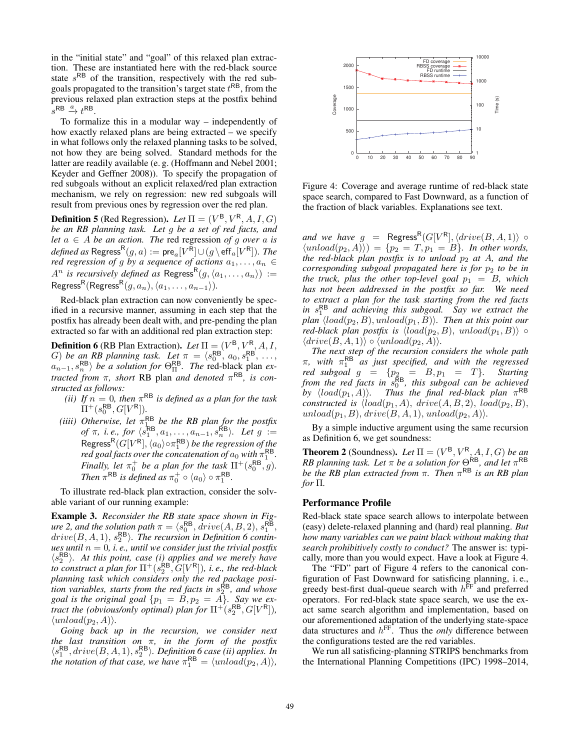in the "initial state" and "goal" of this relaxed plan extraction. These are instantiated here with the red-black source state  $s^{RB}$  of the transition, respectively with the red subgoals propagated to the transition's target state  $t^{RB}$ , from the previous relaxed plan extraction steps at the postfix behind  $s^{RB} \xrightarrow{a} t^{RB}$ .

To formalize this in a modular way – independently of how exactly relaxed plans are being extracted – we specify in what follows only the relaxed planning tasks to be solved, not how they are being solved. Standard methods for the latter are readily available (e. g. (Hoffmann and Nebel 2001; Keyder and Geffner 2008)). To specify the propagation of red subgoals without an explicit relaxed/red plan extraction mechanism, we rely on regression: new red subgoals will result from previous ones by regression over the red plan.

**Definition 5** (Red Regression). *Let*  $\Pi = (V^B, V^R, A, I, G)$ *be an RB planning task. Let* g *be a set of red facts, and let*  $a \in A$  *be an action. The* red regression *of* g *over* a *is defined as* Regress<sup>R</sup> $(g, a) := \text{pre}_a[V^R] \cup (g \setminus \text{eff}_a[V^R])$ *. The red regression of g by a sequence of actions*  $a_1, \ldots, a_n \in$  $A^n$  *is recursively defined as* Regress<sup>R</sup> $(g, \langle a_1, \ldots, a_n \rangle)$  := Regress<sup>R</sup>(Regress<sup>R</sup> $(g, a_n), \langle a_1, \ldots, a_{n-1} \rangle$ ).

Red-black plan extraction can now conveniently be specified in a recursive manner, assuming in each step that the postfix has already been dealt with, and pre-pending the plan extracted so far with an additional red plan extraction step:

**Definition 6** (RB Plan Extraction). *Let*  $\Pi = (V^{\mathsf{B}}, V^{\mathsf{R}}, A, I, \mathsf{R})$ G) *be an RB planning task.* Let  $\pi = \langle s_0^{RB}, a_0, s_1^{RB}, \ldots, s_{pR}^{BB} \rangle$  $a_{n-1}, s_n^{\mathsf{RB}}$  *be a solution for*  $\Theta_{\Pi}^{\mathsf{RB}}$ *. The* red-black plan *extracted from*  $\pi$ *, short* RB plan *and denoted*  $\pi$ <sup>RB</sup>, *is constructed as follows:*

- *(ii)* If  $n = 0$ , then  $\pi^{RB}$  is defined as a plan for the task  $\Pi^+(s_0^{\sf RB}, G[V^{\sf R}]).$
- *(iiii)* Otherwise, let  $\pi_{\text{1D}}^{\text{RB}}$  be the RB plan for the postfix *of*  $\pi$ , *i.e., for*  $\langle s_1^{\mathsf{RB}}, a_1, \ldots, a_{n-1}, s_n^{\mathsf{RB}} \rangle$ . Let  $g :=$ Regress<sup>R</sup>(G[V<sup>R</sup>],  $\langle a_0 \rangle \circ \pi_1^{\sf RB}$ ) *be the regression of the*<br>red goal facts over the concatenation of  $a_0$  with  $\pi_1^{\sf RB}$ *red goal facts over the concatenation of*  $a_0$  *with*  $\pi_1^{\sf RB}$ . *Finally, let*  $\pi_0^+$  *be a plan for the task*  $\Pi^+(s_0^{\mathsf{RB}}, g)$ *. Then*  $\pi^{\mathsf{RB}}$  *is defined as*  $\pi_0^+ \circ \langle a_0 \rangle \circ \pi_1^{\mathsf{RB}}$ *.*

To illustrate red-black plan extraction, consider the solvable variant of our running example:

Example 3. *Reconsider the RB state space shown in Figure 2, and the solution path*  $\pi = \langle s_0^{\sf RB}, \text{drive}(A, B, 2), s_1^{\sf RB}, \rangle$  $drive(B, A, 1), s_2^{\mathsf{RB}}\rangle$ . The recursion in Definition 6 contin*ues until*  $n = 0$ *, i.e., until we consider just the trivial postfix*  $\langle s_2^{\text{RB}} \rangle$ . At this point, case (i) applies and we merely have *to construct a plan for*  $\Pi^+(s_2^{\sf RB}, G[V^{\sf R}])$ *, i.e., the red-black planning task which considers only the red package position variables, starts from the red facts in*  $s_2^{\overline{R}B}$ *, and whose goal is the original goal*  $\{p_1 = B, p_2 = A\}$ *. Say we extract the (obvious/only optimal) plan for*  $\Pi^+(s_2^{\mathsf{RB}}, G[V^{\mathsf{R}}]),$  $\langle unload(p_2, A) \rangle$ .

*Going back up in the recursion, we consider next the last transition on*  $\pi$ , *in the form of the postfix*  $\langle s_1^{\text{RB}}, drive(B, A, 1), s_2^{\text{RB}} \rangle$ . *Definition 6 case (ii) applies. In* the notation of that case, we have  $\pi_1^{\text{RB}} = \langle unload(p_2, A) \rangle$ ,



Figure 4: Coverage and average runtime of red-black state space search, compared to Fast Downward, as a function of the fraction of black variables. Explanations see text.

*and we have*  $g = \text{Regress}^R(G[V^R], \langle drive(B, A, 1) \rangle \circ$  $\langle$ unload $(p_2, A) \rangle$  =  $\{p_2 = T, p_1 = B\}$ *. In other words, the red-black plan postfix is to unload*  $p_2$  *at* A, *and the corresponding subgoal propagated here is for*  $p_2$  *to be in the truck, plus the other top-level goal*  $p_1 = B$ *, which has not been addressed in the postfix so far. We need to extract a plan for the task starting from the red facts* in  $s_1^{\text{RB}}$  and achieving this subgoal. Say we extract the *plan*  $\langle load(p_2, B), unload(p_1, B) \rangle$ . Then at this point our *red-black plan postfix is*  $\langle load(p_2, B), unload(p_1, B) \rangle \circ$  $\langle drive(B, A, 1)\rangle \circ \langle unload(p_2, A)\rangle.$ 

*The next step of the recursion considers the whole path*  $\pi$ , with  $\pi_1^{\text{RB}}$  *as just specified, and with the regressed red subgoal*  $g = \{p_2 = B, p_1 = T\}$ . Starting from the red facts in  $s_0^{\text{RB}}$ , this subgoal can be achieved *by*  $\langle load(p_1, A) \rangle$ . Thus the final red-black plan  $\pi^{RB}$ *constructed is*  $\langle load(p_1, A), drive(A, B, 2), load(p_2, B),$ unload $(p_1, B)$ , drive $(B, A, 1)$ , unload $(p_2, A)$ .

By a simple inductive argument using the same recursion as Definition 6, we get soundness:

**Theorem 2** (Soundness). Let  $\Pi = (V^B, V^R, A, I, G)$  *be an RB planning task. Let*  $\pi$  *be a solution for*  $\Theta^{RB}$ *, and let*  $\pi^{RB}$ *be the RB plan extracted from*  $\pi$ *. Then*  $\pi$ <sup>RB</sup> *is an RB plan for* Π*.*

#### Performance Profile

Red-black state space search allows to interpolate between (easy) delete-relaxed planning and (hard) real planning. *But how many variables can we paint black without making that search prohibitively costly to conduct?* The answer is: typically, more than you would expect. Have a look at Figure 4.

The "FD" part of Figure 4 refers to the canonical configuration of Fast Downward for satisficing planning, i. e., greedy best-first dual-queue search with  $h^{\text{FF}}$  and preferred operators. For red-black state space search, we use the exact same search algorithm and implementation, based on our aforementioned adaptation of the underlying state-space data structures and  $h^{\text{FF}}$ . Thus the *only* difference between the configurations tested are the red variables.

We run all satisficing-planning STRIPS benchmarks from the International Planning Competitions (IPC) 1998–2014,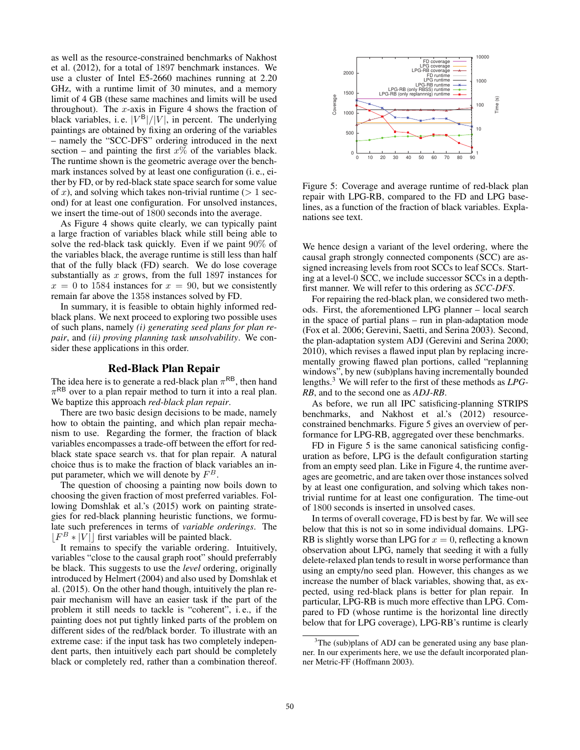as well as the resource-constrained benchmarks of Nakhost et al. (2012), for a total of 1897 benchmark instances. We use a cluster of Intel E5-2660 machines running at 2.20 GHz, with a runtime limit of 30 minutes, and a memory limit of 4 GB (these same machines and limits will be used throughout). The  $x$ -axis in Figure 4 shows the fraction of black variables, i.e.  $|V^B|/|V|$ , in percent. The underlying paintings are obtained by fixing an ordering of the variables – namely the "SCC-DFS" ordering introduced in the next section – and painting the first  $x\%$  of the variables black. The runtime shown is the geometric average over the benchmark instances solved by at least one configuration (i. e., either by FD, or by red-black state space search for some value of x), and solving which takes non-trivial runtime ( $> 1$  second) for at least one configuration. For unsolved instances, we insert the time-out of 1800 seconds into the average.

As Figure 4 shows quite clearly, we can typically paint a large fraction of variables black while still being able to solve the red-black task quickly. Even if we paint 90% of the variables black, the average runtime is still less than half that of the fully black (FD) search. We do lose coverage substantially as  $x$  grows, from the full 1897 instances for  $x = 0$  to 1584 instances for  $x = 90$ , but we consistently remain far above the 1358 instances solved by FD.

In summary, it is feasible to obtain highly informed redblack plans. We next proceed to exploring two possible uses of such plans, namely *(i) generating seed plans for plan repair*, and *(ii) proving planning task unsolvability*. We consider these applications in this order.

## Red-Black Plan Repair

The idea here is to generate a red-black plan  $\pi^{RB}$ , then hand  $\pi$ <sup>RB</sup> over to a plan repair method to turn it into a real plan. We baptize this approach *red-black plan repair*.

There are two basic design decisions to be made, namely how to obtain the painting, and which plan repair mechanism to use. Regarding the former, the fraction of black variables encompasses a trade-off between the effort for redblack state space search vs. that for plan repair. A natural choice thus is to make the fraction of black variables an input parameter, which we will denote by  $F^B$ .

The question of choosing a painting now boils down to choosing the given fraction of most preferred variables. Following Domshlak et al.'s (2015) work on painting strategies for red-black planning heuristic functions, we formulate such preferences in terms of *variable orderings*. The  $|F^B * |V|$  first variables will be painted black.

It remains to specify the variable ordering. Intuitively, variables "close to the causal graph root" should preferrably be black. This suggests to use the *level* ordering, originally introduced by Helmert (2004) and also used by Domshlak et al. (2015). On the other hand though, intuitively the plan repair mechanism will have an easier task if the part of the problem it still needs to tackle is "coherent", i. e., if the painting does not put tightly linked parts of the problem on different sides of the red/black border. To illustrate with an extreme case: if the input task has two completely independent parts, then intuitively each part should be completely black or completely red, rather than a combination thereof.



Figure 5: Coverage and average runtime of red-black plan repair with LPG-RB, compared to the FD and LPG baselines, as a function of the fraction of black variables. Explanations see text.

We hence design a variant of the level ordering, where the causal graph strongly connected components (SCC) are assigned increasing levels from root SCCs to leaf SCCs. Starting at a level-0 SCC, we include successor SCCs in a depthfirst manner. We will refer to this ordering as *SCC-DFS*.

For repairing the red-black plan, we considered two methods. First, the aforementioned LPG planner – local search in the space of partial plans – run in plan-adaptation mode (Fox et al. 2006; Gerevini, Saetti, and Serina 2003). Second, the plan-adaptation system ADJ (Gerevini and Serina 2000; 2010), which revises a flawed input plan by replacing incrementally growing flawed plan portions, called "replanning windows", by new (sub)plans having incrementally bounded lengths.3 We will refer to the first of these methods as *LPG-RB*, and to the second one as *ADJ-RB*.

As before, we run all IPC satisficing-planning STRIPS benchmarks, and Nakhost et al.'s (2012) resourceconstrained benchmarks. Figure 5 gives an overview of performance for LPG-RB, aggregated over these benchmarks.

FD in Figure 5 is the same canonical satisficing configuration as before, LPG is the default configuration starting from an empty seed plan. Like in Figure 4, the runtime averages are geometric, and are taken over those instances solved by at least one configuration, and solving which takes nontrivial runtime for at least one configuration. The time-out of 1800 seconds is inserted in unsolved cases.

In terms of overall coverage, FD is best by far. We will see below that this is not so in some individual domains. LPG-RB is slightly worse than LPG for  $x = 0$ , reflecting a known observation about LPG, namely that seeding it with a fully delete-relaxed plan tends to result in worse performance than using an empty/no seed plan. However, this changes as we increase the number of black variables, showing that, as expected, using red-black plans is better for plan repair. In particular, LPG-RB is much more effective than LPG. Compared to FD (whose runtime is the horizontal line directly below that for LPG coverage), LPG-RB's runtime is clearly

<sup>&</sup>lt;sup>3</sup>The (sub)plans of ADJ can be generated using any base planner. In our experiments here, we use the default incorporated planner Metric-FF (Hoffmann 2003).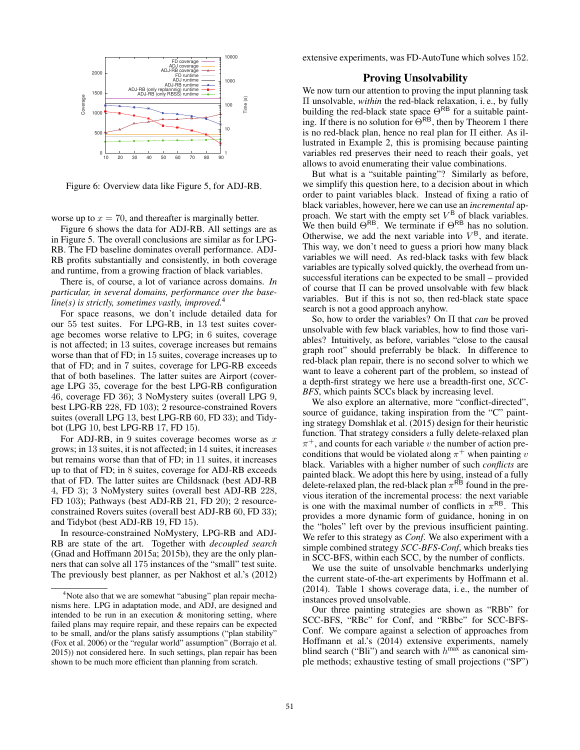

Figure 6: Overview data like Figure 5, for ADJ-RB.

worse up to  $x = 70$ , and thereafter is marginally better.

Figure 6 shows the data for ADJ-RB. All settings are as in Figure 5. The overall conclusions are similar as for LPG-RB. The FD baseline dominates overall performance. ADJ-RB profits substantially and consistently, in both coverage and runtime, from a growing fraction of black variables.

There is, of course, a lot of variance across domains. *In particular, in several domains, performance over the baseline(s) is strictly, sometimes vastly, improved.*<sup>4</sup>

For space reasons, we don't include detailed data for our 55 test suites. For LPG-RB, in 13 test suites coverage becomes worse relative to LPG; in 6 suites, coverage is not affected; in 13 suites, coverage increases but remains worse than that of FD; in 15 suites, coverage increases up to that of FD; and in 7 suites, coverage for LPG-RB exceeds that of both baselines. The latter suites are Airport (coverage LPG 35, coverage for the best LPG-RB configuration 46, coverage FD 36); 3 NoMystery suites (overall LPG 9, best LPG-RB 228, FD 103); 2 resource-constrained Rovers suites (overall LPG 13, best LPG-RB 60, FD 33); and Tidybot (LPG 10, best LPG-RB 17, FD 15).

For ADJ-RB, in 9 suites coverage becomes worse as  $x$ grows; in 13 suites, it is not affected; in 14 suites, it increases but remains worse than that of FD; in 11 suites, it increases up to that of FD; in 8 suites, coverage for ADJ-RB exceeds that of FD. The latter suites are Childsnack (best ADJ-RB 4, FD 3); 3 NoMystery suites (overall best ADJ-RB 228, FD 103); Pathways (best ADJ-RB 21, FD 20); 2 resourceconstrained Rovers suites (overall best ADJ-RB 60, FD 33); and Tidybot (best ADJ-RB 19, FD 15).

In resource-constrained NoMystery, LPG-RB and ADJ-RB are state of the art. Together with *decoupled search* (Gnad and Hoffmann 2015a; 2015b), they are the only planners that can solve all 175 instances of the "small" test suite. The previously best planner, as per Nakhost et al.'s (2012) extensive experiments, was FD-AutoTune which solves 152.

# Proving Unsolvability

We now turn our attention to proving the input planning task Π unsolvable, *within* the red-black relaxation, i. e., by fully building the red-black state space  $\Theta^{RB}$  for a suitable painting. If there is no solution for  $\Theta^{RB}$ , then by Theorem 1 there is no red-black plan, hence no real plan for Π either. As illustrated in Example 2, this is promising because painting variables red preserves their need to reach their goals, yet allows to avoid enumerating their value combinations.

But what is a "suitable painting"? Similarly as before, we simplify this question here, to a decision about in which order to paint variables black. Instead of fixing a ratio of black variables, however, here we can use an *incremental* approach. We start with the empty set  $V^B$  of black variables. We then build  $\Theta^{RB}$ . We terminate if  $\Theta^{RB}$  has no solution. Otherwise, we add the next variable into  $V^B$ , and iterate. This way, we don't need to guess a priori how many black variables we will need. As red-black tasks with few black variables are typically solved quickly, the overhead from unsuccessful iterations can be expected to be small – provided of course that Π can be proved unsolvable with few black variables. But if this is not so, then red-black state space search is not a good approach anyhow.

So, how to order the variables? On Π that *can* be proved unsolvable with few black variables, how to find those variables? Intuitively, as before, variables "close to the causal graph root" should preferrably be black. In difference to red-black plan repair, there is no second solver to which we want to leave a coherent part of the problem, so instead of a depth-first strategy we here use a breadth-first one, *SCC-BFS*, which paints SCCs black by increasing level.

We also explore an alternative, more "conflict-directed", source of guidance, taking inspiration from the "C" painting strategy Domshlak et al. (2015) design for their heuristic function. That strategy considers a fully delete-relaxed plan  $\pi^+$ , and counts for each variable v the number of action preconditions that would be violated along  $\pi^+$  when painting v black. Variables with a higher number of such *conflicts* are painted black. We adopt this here by using, instead of a fully delete-relaxed plan, the red-black plan  $\pi$ <sup>RB</sup> found in the previous iteration of the incremental process: the next variable is one with the maximal number of conflicts in  $\pi^{RB}$ . This provides a more dynamic form of guidance, honing in on the "holes" left over by the previous insufficient painting. We refer to this strategy as *Conf*. We also experiment with a simple combined strategy *SCC-BFS-Conf*, which breaks ties in SCC-BFS, within each SCC, by the number of conflicts.

We use the suite of unsolvable benchmarks underlying the current state-of-the-art experiments by Hoffmann et al. (2014). Table 1 shows coverage data, i. e., the number of instances proved unsolvable.

Our three painting strategies are shown as "RBb" for SCC-BFS, "RBc" for Conf, and "RBbc" for SCC-BFS-Conf. We compare against a selection of approaches from Hoffmann et al.'s (2014) extensive experiments, namely blind search ("Bli") and search with  $h^{\text{max}}$  as canonical simple methods; exhaustive testing of small projections ("SP")

<sup>&</sup>lt;sup>4</sup>Note also that we are somewhat "abusing" plan repair mechanisms here. LPG in adaptation mode, and ADJ, are designed and intended to be run in an execution & monitoring setting, where failed plans may require repair, and these repairs can be expected to be small, and/or the plans satisfy assumptions ("plan stability" (Fox et al. 2006) or the "regular world" assumption" (Borrajo et al. 2015)) not considered here. In such settings, plan repair has been shown to be much more efficient than planning from scratch.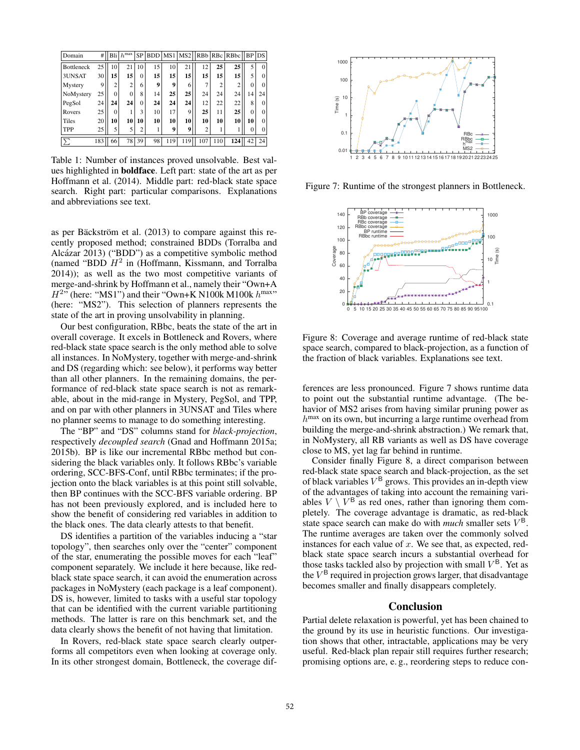| Domain            | #   |          | Bli $h^{max}$  | <b>SP</b>      | BDD MS1     |     |     |                |     | MS2    RBb   RBc   RBbc    BP   DS |          |          |
|-------------------|-----|----------|----------------|----------------|-------------|-----|-----|----------------|-----|------------------------------------|----------|----------|
| <b>Bottleneck</b> | 25  | 10       | 21             | 10             | 15          | 10  | 21  | 12             | 25  | 25                                 |          | $\theta$ |
| 3UNSAT            | 30  | 15       | 15             | $\Omega$       | 15          | 15  | 15  | 15             | 15  | 15                                 | 5        | $\Omega$ |
| Mystery           | 9   | 2        | $\overline{2}$ | 6              | $\mathbf Q$ | 9   | 6   | 7              | 2   | $\overline{2}$                     | $\Omega$ | $\Omega$ |
| NoMystery         | 25  | $\Omega$ | $\Omega$       | 8              | 14          | 25  | 25  | 24             | 24  | 24                                 | 14       | 24       |
| PegSol            | 24  | 24       | 24             | $\Omega$       | 24          | 24  | 24  | 12             | 22  | 22                                 | 8        | $\Omega$ |
| Rovers            | 25  | $\Omega$ |                | 3              | 10          | 17  | 9   | 25             | 11  | 25                                 | $\theta$ | 0        |
| Tiles             | 20  | 10       | 10             | 10             | 10          | 10  | 10  | 10             | 10  | 10                                 | 10       | $\Omega$ |
| TPP               | 25  | 5        | 5              | $\overline{c}$ |             | 9   | 9   | $\overline{2}$ |     |                                    | 0        | 0        |
| $\sum$            | 183 | 66       | 78             | 39             | 98          | 119 | 119 | 107            | 110 | 124                                | 42       | 24       |

Table 1: Number of instances proved unsolvable. Best values highlighted in boldface. Left part: state of the art as per Hoffmann et al. (2014). Middle part: red-black state space search. Right part: particular comparisons. Explanations and abbreviations see text.

as per Bäckström et al.  $(2013)$  to compare against this recently proposed method; constrained BDDs (Torralba and Alcázar 2013) ("BDD") as a competitive symbolic method (named "BDD  $H^2$  in (Hoffmann, Kissmann, and Torralba 2014)); as well as the two most competitive variants of merge-and-shrink by Hoffmann et al., namely their "Own+A  $H^{2n}$  (here: "MS1") and their "Own+K N100k M100k  $h^{\text{max}}$ " (here: "MS2"). This selection of planners represents the state of the art in proving unsolvability in planning.

Our best configuration, RBbc, beats the state of the art in overall coverage. It excels in Bottleneck and Rovers, where red-black state space search is the only method able to solve all instances. In NoMystery, together with merge-and-shrink and DS (regarding which: see below), it performs way better than all other planners. In the remaining domains, the performance of red-black state space search is not as remarkable, about in the mid-range in Mystery, PegSol, and TPP, and on par with other planners in 3UNSAT and Tiles where no planner seems to manage to do something interesting.

The "BP" and "DS" columns stand for *black-projection*, respectively *decoupled search* (Gnad and Hoffmann 2015a; 2015b). BP is like our incremental RBbc method but considering the black variables only. It follows RBbc's variable ordering, SCC-BFS-Conf, until RBbc terminates; if the projection onto the black variables is at this point still solvable, then BP continues with the SCC-BFS variable ordering. BP has not been previously explored, and is included here to show the benefit of considering red variables in addition to the black ones. The data clearly attests to that benefit.

DS identifies a partition of the variables inducing a "star topology", then searches only over the "center" component of the star, enumerating the possible moves for each "leaf" component separately. We include it here because, like redblack state space search, it can avoid the enumeration across packages in NoMystery (each package is a leaf component). DS is, however, limited to tasks with a useful star topology that can be identified with the current variable partitioning methods. The latter is rare on this benchmark set, and the data clearly shows the benefit of not having that limitation.

In Rovers, red-black state space search clearly outperforms all competitors even when looking at coverage only. In its other strongest domain, Bottleneck, the coverage dif-



Figure 7: Runtime of the strongest planners in Bottleneck.



Figure 8: Coverage and average runtime of red-black state space search, compared to black-projection, as a function of the fraction of black variables. Explanations see text.

ferences are less pronounced. Figure 7 shows runtime data to point out the substantial runtime advantage. (The behavior of MS2 arises from having similar pruning power as  $h^{\text{max}}$  on its own, but incurring a large runtime overhead from building the merge-and-shrink abstraction.) We remark that, in NoMystery, all RB variants as well as DS have coverage close to MS, yet lag far behind in runtime.

Consider finally Figure 8, a direct comparison between red-black state space search and black-projection, as the set of black variables  $V^B$  grows. This provides an in-depth view of the advantages of taking into account the remaining variables  $V \setminus V^B$  as red ones, rather than ignoring them completely. The coverage advantage is dramatic, as red-black state space search can make do with *much* smaller sets  $V^B$ . The runtime averages are taken over the commonly solved instances for each value of  $x$ . We see that, as expected, redblack state space search incurs a substantial overhead for those tasks tackled also by projection with small  $V^B$ . Yet as the  $V^B$  required in projection grows larger, that disadvantage becomes smaller and finally disappears completely.

# Conclusion

Partial delete relaxation is powerful, yet has been chained to the ground by its use in heuristic functions. Our investigation shows that other, intractable, applications may be very useful. Red-black plan repair still requires further research; promising options are, e. g., reordering steps to reduce con